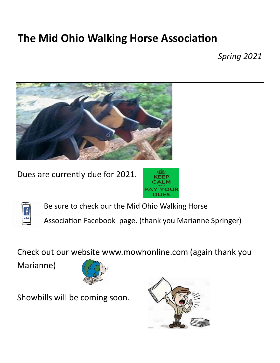## **The Mid Ohio Walking Horse Association**

*Spring 2021*



Dues are currently due for 2021.





Be sure to check our the Mid Ohio Walking Horse

Association Facebook page. (thank you Marianne Springer)

Check out our website www.mowhonline.com (again thank you

Marianne)



Showbills will be coming soon.

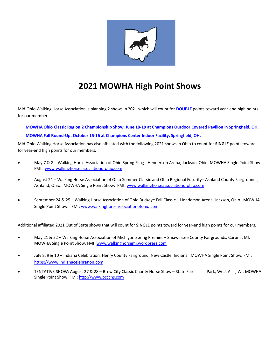

## **2021 MOWHA High Point Shows**

Mid-Ohio Walking Horse Association is planning 2 shows in 2021 which will count for **DOUBLE** points toward year-end high points for our members.

**MOWHA Ohio Classic Region 2 Championship Show. June 18-19 at Champions Outdoor Covered Pavilion in Springfield, OH.**

## **MOWHA Fall Round-Up. October 15-16 at Champions Center Indoor Facility, Springfield, OH.**

Mid-Ohio Walking Horse Association has also affiliated with the following 2021 shows in Ohio to count for **SINGLE** points toward for year-end high points for our members.

- May 7 & 8 Walking Horse Association of Ohio Spring Fling Henderson Arena, Jackson, Ohio. MOWHA Single Point Show. FMI: [www.walkinghorseassociationofohio.com](http://www.walkinghorseassociationofohio.com/)
- August 21 Walking Horse Association of Ohio Summer Classic and Ohio Regional Futurity– Ashland County Fairgrounds, Ashland, Ohio. MOWHA Single Point Show. FMI: [www.walkinghorseassociationofohio.com](http://www.walkinghorseassociationofohio.com/)
- September 24 & 25 Walking Horse Association of Ohio Buckeye Fall Classic Henderson Arena, Jackson, Ohio. MOWHA Single Point Show. FMI: [www.walkinghorseassociationofohio.com](http://www.walkinghorseassociationofohio.com/)

Additional affiliated 2021 Out of State shows that will count for **SINGLE** points toward for year-end high points for our members.

- May 21 & 22 Walking Horse Association of Michigan Spring Premier Shiawassee County Fairgrounds, Coruna, MI. MOWHA Single Point Show. FMI: www.walkinghorsemi.wordpress.com
- July 8, 9 & 10 Indiana Celebration. Henry County Fairground, New Castle, Indiana. MOWHA Single Point Show. FMI: [https://www.indianacelebration.com](https://www.indianacelebration.com/)
- TENTATIVE SHOW: August 27 & 28 Brew City Classic Charity Horse Show State Fair Park, West Allis, WI. MOWHA Single Point Show. FMI: [http://www.bccchs.com](http://www.bccchs.com/)